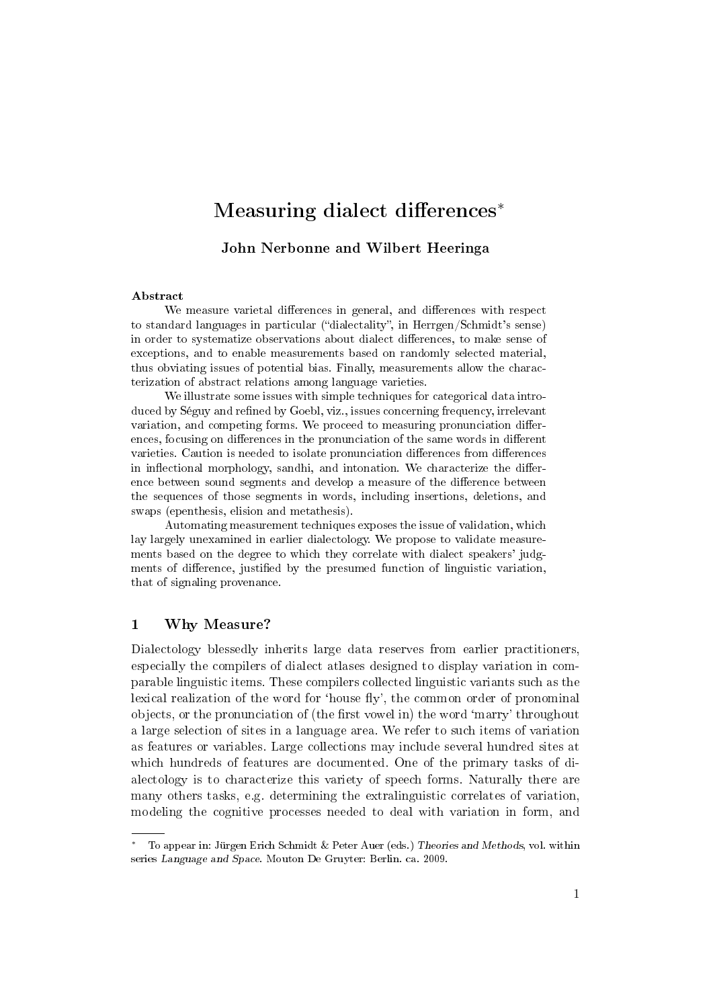# Measuring dialect differences<sup>\*</sup>

John Nerbonne and Wilbert Heeringa

#### Abstract

We measure varietal differences in general, and differences with respect to standard languages in particular ("dialectality", in Herrgen/Schmidt's sense) in order to systematize observations about dialect differences, to make sense of exceptions, and to enable measurements based on randomly selected material, thus obviating issues of potential bias. Finally, measurements allow the characterization of abstract relations among language varieties.

We illustrate some issues with simple techniques for categorical data introduced by Séguy and refined by Goebl, viz., issues concerning frequency, irrelevant variation, and competing forms. We proceed to measuring pronunciation differences, focusing on differences in the pronunciation of the same words in different varieties. Caution is needed to isolate pronunciation differences from differences in inflectional morphology, sandhi, and intonation. We characterize the difference between sound segments and develop a measure of the difference between the sequences of those segments in words, including insertions, deletions, and swaps (epenthesis, elision and metathesis).

Automating measurement techniques exposes the issue of validation, which lay largely unexamined in earlier dialectology. We propose to validate measurements based on the degree to which they correlate with dialect speakers' judgments of difference, justified by the presumed function of linguistic variation, that of signaling provenance.

#### 1 Why Measure?

Dialectology blessedly inherits large data reserves from earlier practitioners, especially the compilers of dialect atlases designed to display variation in comparable linguistic items. These compilers collected linguistic variants such as the lexical realization of the word for 'house fly', the common order of pronominal objects, or the pronunciation of (the first vowel in) the word 'marry' throughout a large selection of sites in a language area. We refer to such items of variation as features or variables. Large collections may include several hundred sites at which hundreds of features are documented. One of the primary tasks of dialectology is to characterize this variety of speech forms. Naturally there are many others tasks, e.g. determining the extralinguistic correlates of variation, modeling the cognitive processes needed to deal with variation in form, and

To appear in: Jürgen Erich Schmidt & Peter Auer (eds.) Theories and Methods, vol. within series Language and Space. Mouton De Gruyter: Berlin. ca. 2009.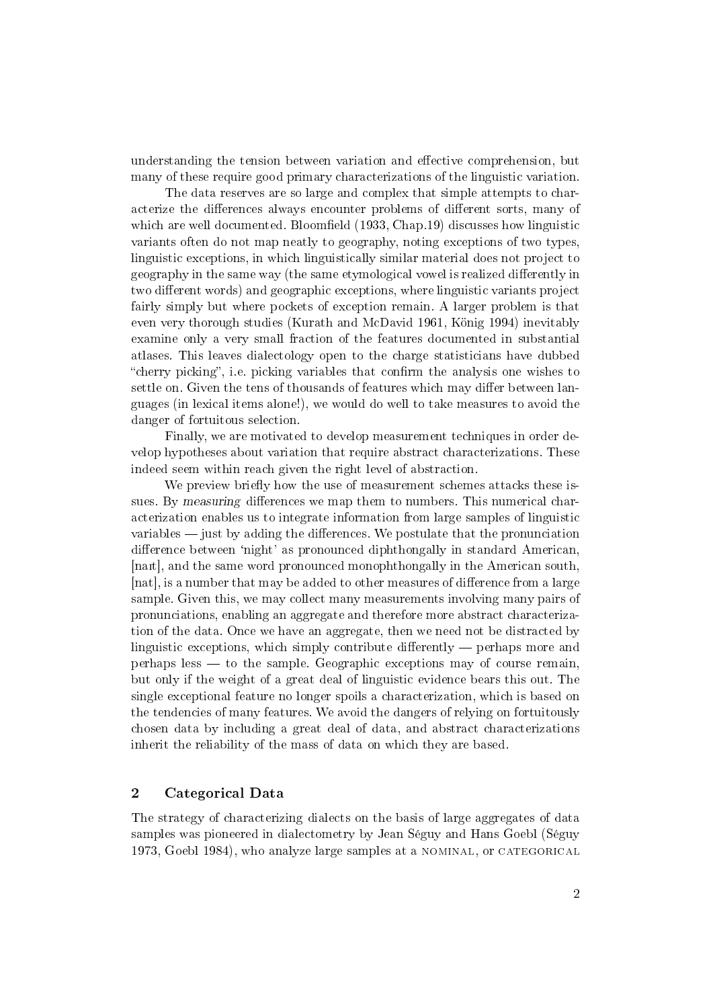understanding the tension between variation and effective comprehension, but many of these require good primary characterizations of the linguistic variation.

The data reserves are so large and complex that simple attempts to characterize the differences always encounter problems of different sorts, many of which are well documented. Bloomfield (1933, Chap.19) discusses how linguistic variants often do not map neatly to geography, noting exceptions of two types, linguistic exceptions, in which linguistically similar material does not project to geography in the same way (the same etymological vowel is realized differently in two different words) and geographic exceptions, where linguistic variants project fairly simply but where pockets of exception remain. A larger problem is that even very thorough studies (Kurath and McDavid 1961, König 1994) inevitably examine only a very small fraction of the features documented in substantial atlases. This leaves dialectology open to the charge statisticians have dubbed "cherry picking", i.e. picking variables that confirm the analysis one wishes to settle on. Given the tens of thousands of features which may differ between languages (in lexical items alone!), we would do well to take measures to avoid the danger of fortuitous selection.

Finally, we are motivated to develop measurement techniques in order develop hypotheses about variation that require abstract characterizations. These indeed seem within reach given the right level of abstraction.

We preview briefly how the use of measurement schemes attacks these issues. By measuring differences we map them to numbers. This numerical characterization enables us to integrate information from large samples of linguistic variables  $\frac{1}{2}$  iust by adding the differences. We postulate that the pronunciation difference between 'night' as pronounced diphthongally in standard American, [nait], and the same word pronounced monophthongally in the American south, [nat], is a number that may be added to other measures of difference from a large sample. Given this, we may collect many measurements involving many pairs of pronunciations, enabling an aggregate and therefore more abstract characterization of the data. Once we have an aggregate, then we need not be distracted by linguistic exceptions, which simply contribute differently  $-$  perhaps more and perhaps less  $-$  to the sample. Geographic exceptions may of course remain, but only if the weight of a great deal of linguistic evidence bears this out. The single exceptional feature no longer spoils a characterization, which is based on the tendencies of many features. We avoid the dangers of relying on fortuitously chosen data by including a great deal of data, and abstract characterizations inherit the reliability of the mass of data on which they are based.

## 2 Categorical Data

The strategy of characterizing dialects on the basis of large aggregates of data samples was pioneered in dialectometry by Jean Séguy and Hans Goebl (Séguy 1973, Goebl 1984), who analyze large samples at a nominal, or categorical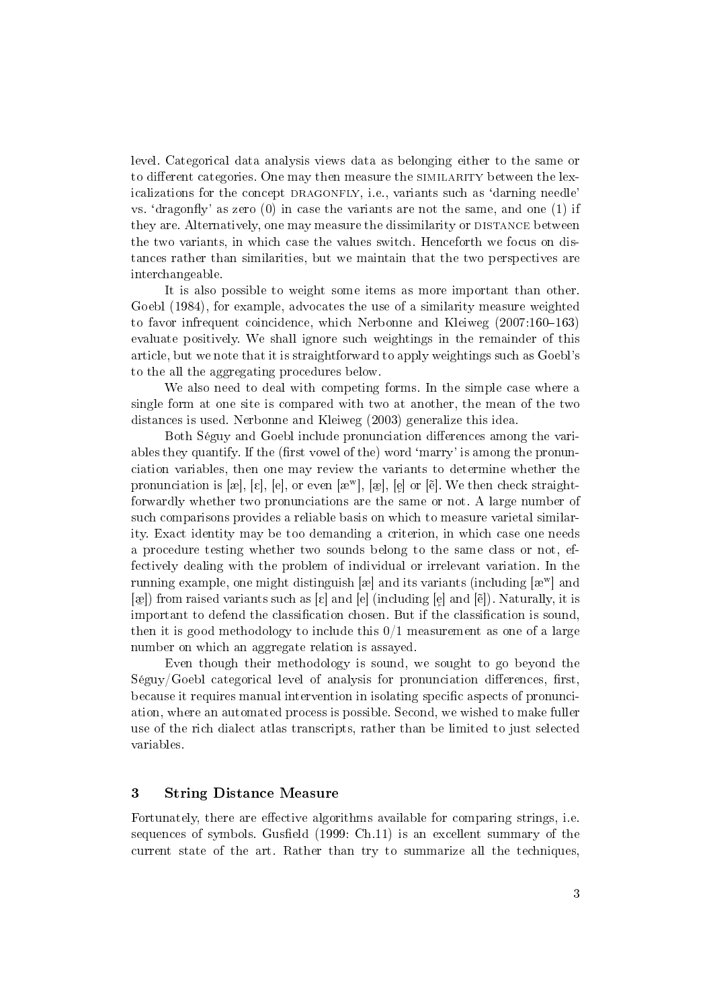level. Categorical data analysis views data as belonging either to the same or to different categories. One may then measure the SIMILARITY between the lexicalizations for the concept DRAGONFLY, i.e., variants such as 'darning needle' vs. 'dragonfly' as zero  $(0)$  in case the variants are not the same, and one  $(1)$  if they are. Alternatively, one may measure the dissimilarity or DISTANCE between the two variants, in which case the values switch. Henceforth we focus on distances rather than similarities, but we maintain that the two perspectives are interchangeable.

It is also possible to weight some items as more important than other. Goebl (1984), for example, advocates the use of a similarity measure weighted to favor infrequent coincidence, which Nerbonne and Kleiweg  $(2007:160-163)$ evaluate positively. We shall ignore such weightings in the remainder of this article, but we note that it is straightforward to apply weightings such as Goebl's to the all the aggregating procedures below.

We also need to deal with competing forms. In the simple case where a single form at one site is compared with two at another, the mean of the two distances is used. Nerbonne and Kleiweg (2003) generalize this idea.

Both Séguy and Goebl include pronunciation differences among the variables they quantify. If the (first vowel of the) word 'marry' is among the pronunciation variables, then one may review the variants to determine whether the pronunciation is [æ], [ɛ], [e], or even [æʷ], [æ̯], [e̞] or [ē]. We then check straightforwardly whether two pronunciations are the same or not. A large number of such comparisons provides a reliable basis on which to measure varietal similarity. Exact identity may be too demanding a criterion, in which case one needs a procedure testing whether two sounds belong to the same class or not, effectively dealing with the problem of individual or irrelevant variation. In the running example, one might distinguish [æ] and its variants (including  $[x^{\mathrm{w}}]$  and  $[\circledast]$ ) from raised variants such as  $[\varepsilon]$  and  $[\circledast]$  (including  $[\circledast]$  and  $[\check{\mathrm{e}}]$ ). Naturally, it is important to defend the classification chosen. But if the classification is sound, then it is good methodology to include this  $0/1$  measurement as one of a large number on which an aggregate relation is assayed.

Even though their methodology is sound, we sought to go beyond the  $Séguy/Goebl$  categorical level of analysis for pronunciation differences, first, because it requires manual intervention in isolating specific aspects of pronunciation, where an automated process is possible. Second, we wished to make fuller use of the rich dialect atlas transcripts, rather than be limited to just selected variables.

# 3 String Distance Measure

Fortunately, there are effective algorithms available for comparing strings, i.e. sequences of symbols. Gusfield  $(1999: Ch.11)$  is an excellent summary of the current state of the art. Rather than try to summarize all the techniques,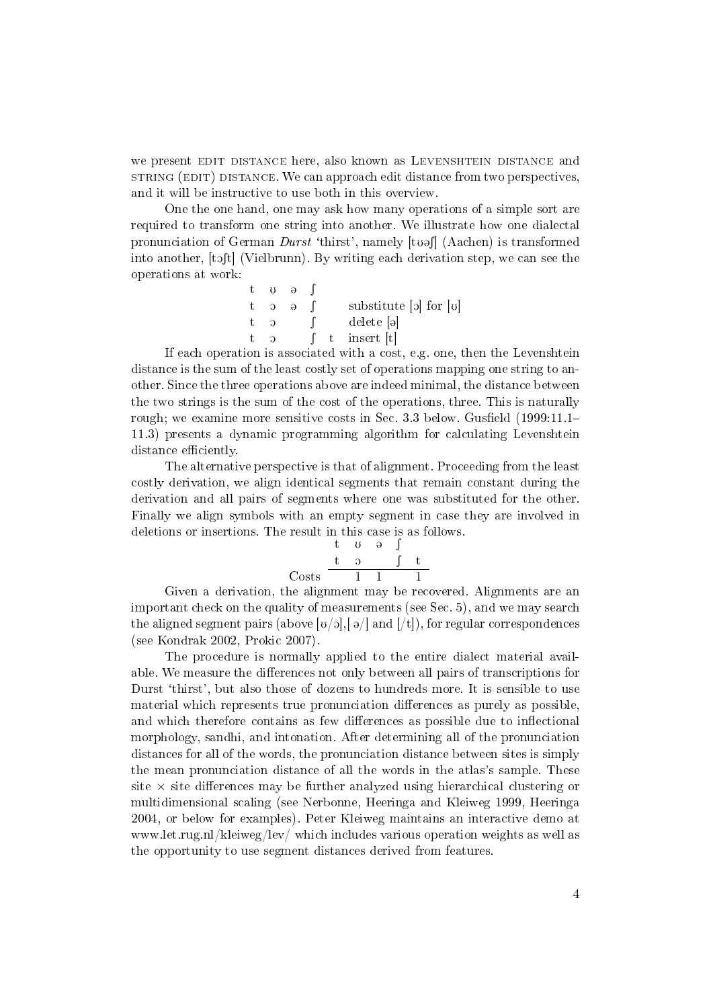we present EDIT DISTANCE here, also known as LEVENSHTEIN DISTANCE and string (EDIT) distance. We can approach edit distance from two perspectives, and it will be instructive to use both in this overview.

One the one hand, one may ask how many operations of a simple sort are required to transform one string into another. We illustrate how one dialectal pronunciation of German  $Durst$  'thirst', namely  $[tu\circ]]$  (Aachen) is transformed into another,  $[t\delta(t)]$  (Vielbrunn). By writing each derivation step, we can see the operations at work:

|             | t v ə               |  |                                                |
|-------------|---------------------|--|------------------------------------------------|
|             | $6 \quad c \quad t$ |  | substitute $\lbrack$ of $\lbrack$ or $\lbrack$ |
|             | $c - t$             |  | delete  ə                                      |
| $t_{\rm c}$ | $\Omega$            |  | t insert  t                                    |

If each operation is associated with a cost, e.g. one, then the Levenshtein distance is the sum of the least costly set of operations mapping one string to another. Since the three operations above are indeed minimal, the distance between the two strings is the sum of the cost of the operations, three. This is naturally rough; we examine more sensitive costs in Sec. 3.3 below. Gusfield  $(1999:11.1-$ 11.3) presents a dynamic programming algorithm for calculating Levenshtein distance efficiently.

The alternative perspective is that of alignment. Proceeding from the least costly derivation, we align identical segments that remain constant during the derivation and all pairs of segments where one was substituted for the other. Finally we align symbols with an empty segment in case they are involved in deletions or insertions. The result in this case is as follows.

$$
\begin{array}{ccccc}\n & t & \upsilon & \vartheta & \int \\
 t & 2 & \int & t \\
 \text{Costs} & 1 & 1 & 1\n\end{array}
$$

Given a derivation, the alignment may be recovered. Alignments are an important check on the quality of measurements (see Sec. 5), and we may search the aligned segment pairs (above  $[v/0]$ ,  $[\varphi/$  and  $[f]$ ), for regular correspondences (see Kondrak 2002, Prokic 2007).

The procedure is normally applied to the entire dialect material available. We measure the differences not only between all pairs of transcriptions for Durst 'thirst', but also those of dozens to hundreds more. It is sensible to use material which represents true pronunciation differences as purely as possible. and which therefore contains as few differences as possible due to inflectional morphology, sandhi, and intonation. After determining all of the pronunciation distances for all of the words, the pronunciation distance between sites is simply the mean pronunciation distance of all the words in the atlas's sample. These site  $\times$  site differences may be further analyzed using hierarchical clustering or multidimensional scaling (see Nerbonne, Heeringa and Kleiweg 1999, Heeringa 2004, or below for examples). Peter Kleiweg maintains an interactive demo at www.let.rug.nl/kleiweg/lev/ which includes various operation weights as well as the opportunity to use segment distances derived from features.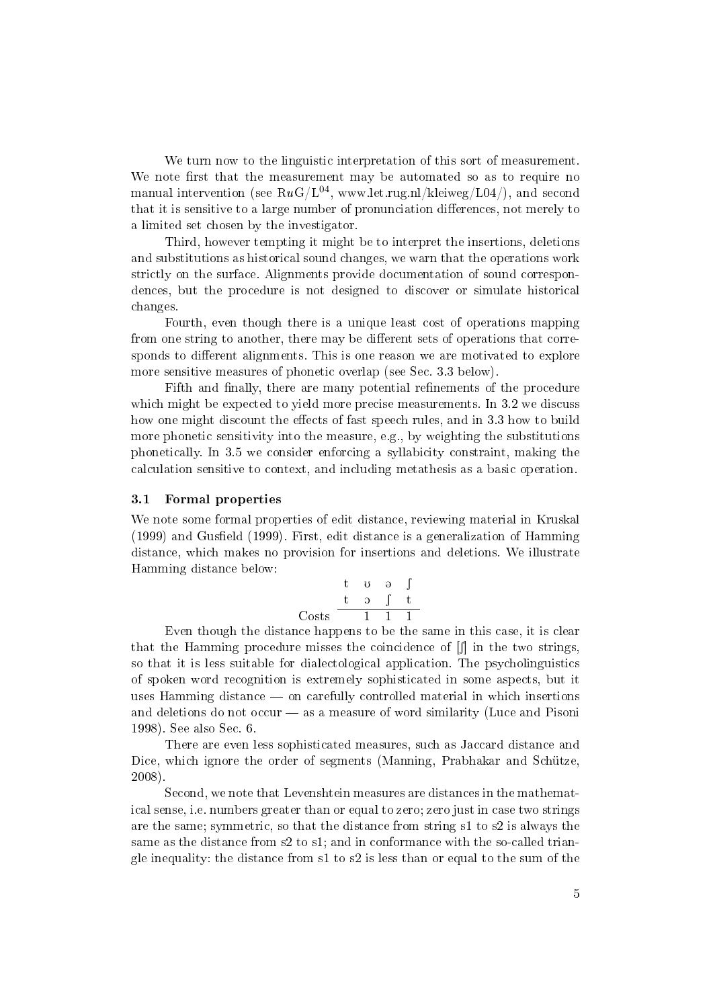We turn now to the linguistic interpretation of this sort of measurement. We note first that the measurement may be automated so as to require no manual intervention (see  $RuG/L^{04}$ , www.let.rug.nl/kleiweg/L04/), and second that it is sensitive to a large number of pronunciation differences, not merely to a limited set chosen by the investigator.

Third, however tempting it might be to interpret the insertions, deletions and substitutions as historical sound changes, we warn that the operations work strictly on the surface. Alignments provide documentation of sound correspondences, but the procedure is not designed to discover or simulate historical changes.

Fourth, even though there is a unique least cost of operations mapping from one string to another, there may be different sets of operations that corresponds to different alignments. This is one reason we are motivated to explore more sensitive measures of phonetic overlap (see Sec. 3.3 below).

Fifth and finally, there are many potential refinements of the procedure which might be expected to yield more precise measurements. In 3.2 we discuss how one might discount the effects of fast speech rules, and in 3.3 how to build more phonetic sensitivity into the measure, e.g., by weighting the substitutions phonetically. In 3.5 we consider enforcing a syllabicity constraint, making the calculation sensitive to context, and including metathesis as a basic operation.

#### 3.1 Formal properties

We note some formal properties of edit distance, reviewing material in Kruskal  $(1999)$  and Gusfield  $(1999)$ . First, edit distance is a generalization of Hamming distance, which makes no provision for insertions and deletions. We illustrate Hamming distance below:

$$
\begin{array}{ccccc}\n & t & \upsilon & \ni & \uparrow \\
\text{Costs} & & \stackrel{\uparrow}{\phantom{}1} & \stackrel{\uparrow}{1} & \stackrel{\uparrow}{1} & \stackrel{\uparrow}{1}\n\end{array}
$$

Even though the distance happens to be the same in this case, it is clear that the Hamming procedure misses the coincidence of  $\left[\int\right]$  in the two strings, so that it is less suitable for dialectological application. The psycholinguistics of spoken word recognition is extremely sophisticated in some aspects, but it uses Hamming distance — on carefully controlled material in which insertions and deletions do not occur  $-$  as a measure of word similarity (Luce and Pisoni 1998). See also Sec. 6.

There are even less sophisticated measures, such as Jaccard distance and Dice, which ignore the order of segments (Manning, Prabhakar and Schütze, 2008).

Second, we note that Levenshtein measures are distances in the mathematical sense, i.e. numbers greater than or equal to zero; zero just in case two strings are the same; symmetric, so that the distance from string s1 to s2 is always the same as the distance from s2 to s1; and in conformance with the so-called triangle inequality: the distance from  $s1$  to  $s2$  is less than or equal to the sum of the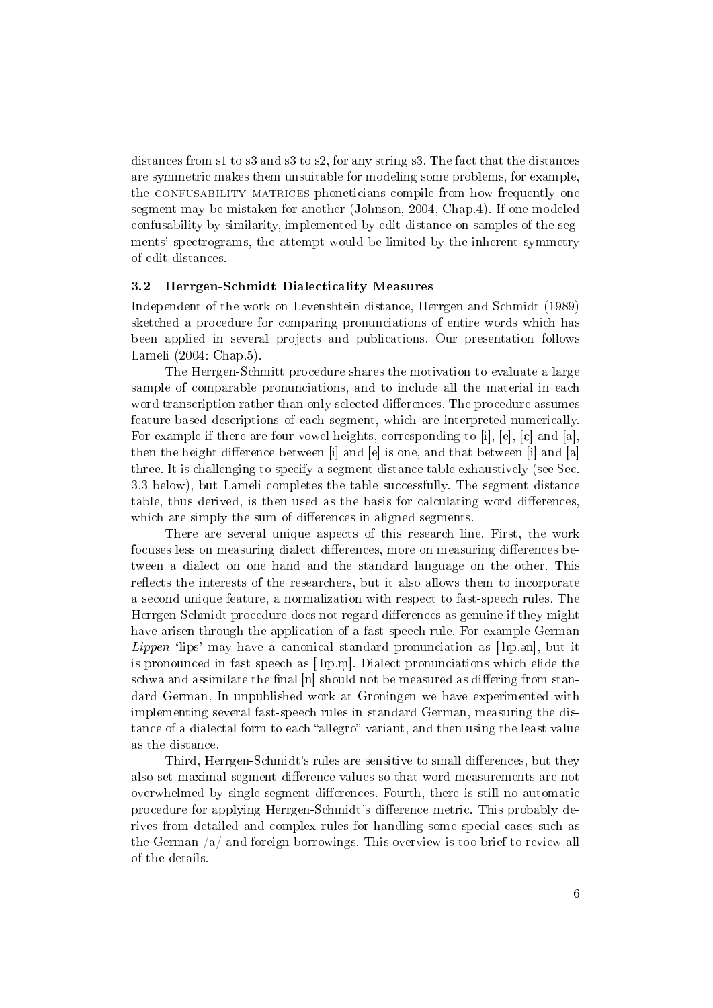distances from s1 to s3 and s3 to s2, for any string s3. The fact that the distances are symmetric makes them unsuitable for modeling some problems, for example, the CONFUSABILITY MATRICES phoneticians compile from how frequently one segment may be mistaken for another (Johnson, 2004, Chap.4). If one modeled confusability by similarity, implemented by edit distance on samples of the segments' spectrograms, the attempt would be limited by the inherent symmetry of edit distances.

#### 3.2 Herrgen-Schmidt Dialecticality Measures

Independent of the work on Levenshtein distance, Herrgen and Schmidt (1989) sketched a procedure for comparing pronunciations of entire words which has been applied in several projects and publications. Our presentation follows Lameli (2004: Chap.5).

The Herrgen-Schmitt procedure shares the motivation to evaluate a large sample of comparable pronunciations, and to include all the material in each word transcription rather than only selected differences. The procedure assumes feature-based descriptions of each segment, which are interpreted numerically. For example if there are four vowel heights, corresponding to [i], [e], [c] and [a], then the height difference between [i] and [e] is one, and that between [i] and [a] three. It is challenging to specify a segment distance table exhaustively (see Sec. 3.3 below), but Lameli completes the table successfully. The segment distance table, thus derived, is then used as the basis for calculating word differences, which are simply the sum of differences in aligned segments.

There are several unique aspects of this research line. First, the work focuses less on measuring dialect differences, more on measuring differences between a dialect on one hand and the standard language on the other. This reflects the interests of the researchers, but it also allows them to incorporate a second unique feature, a normalization with respect to fast-speech rules. The Herrgen-Schmidt procedure does not regard differences as genuine if they might have arisen through the application of a fast speech rule. For example German *Lippen* 'lips' may have a canonical standard pronunciation as ['lip.on], but it is pronounced in fast speech as ["lIp.m ]. Dialect pronunciations which elide the schwa and assimilate the final [n] should not be measured as differing from standard German. In unpublished work at Groningen we have experimented with implementing several fast-speech rules in standard German, measuring the distance of a dialectal form to each "allegro" variant, and then using the least value as the distance.

Third, Herrgen-Schmidt's rules are sensitive to small differences, but they also set maximal segment difference values so that word measurements are not overwhelmed by single-segment differences. Fourth, there is still no automatic procedure for applying Herrgen-Schmidt's dierence metric. This probably derives from detailed and complex rules for handling some special cases such as the German  $\sqrt{a}$  and foreign borrowings. This overview is too brief to review all of the details.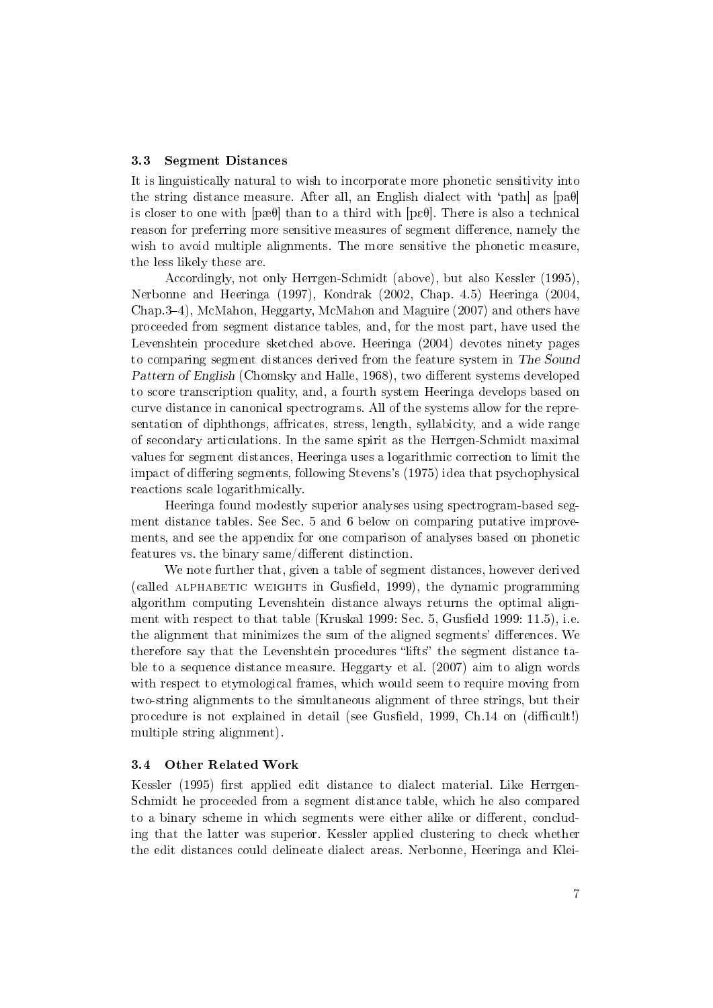#### 3.3 Segment Distances

It is linguistically natural to wish to incorporate more phonetic sensitivity into the string distance measure. After all, an English dialect with 'path as  $[pa\theta]$ is closer to one with  $[p\in\Theta]$  than to a third with  $[p\in\Theta]$ . There is also a technical reason for preferring more sensitive measures of segment difference, namely the wish to avoid multiple alignments. The more sensitive the phonetic measure, the less likely these are.

Accordingly, not only Herrgen-Schmidt (above), but also Kessler (1995), Nerbonne and Heeringa (1997), Kondrak (2002, Chap. 4.5) Heeringa (2004, Chap.34), McMahon, Heggarty, McMahon and Maguire (2007) and others have proceeded from segment distance tables, and, for the most part, have used the Levenshtein procedure sketched above. Heeringa (2004) devotes ninety pages to comparing segment distances derived from the feature system in The Sound Pattern of English (Chomsky and Halle, 1968), two different systems developed to score transcription quality, and, a fourth system Heeringa develops based on curve distance in canonical spectrograms. All of the systems allow for the representation of diphthongs, affricates, stress, length, syllabicity, and a wide range of secondary articulations. In the same spirit as the Herrgen-Schmidt maximal values for segment distances, Heeringa uses a logarithmic correction to limit the impact of differing segments, following Stevens's (1975) idea that psychophysical reactions scale logarithmically.

Heeringa found modestly superior analyses using spectrogram-based segment distance tables. See Sec. 5 and 6 below on comparing putative improvements, and see the appendix for one comparison of analyses based on phonetic features vs. the binary same/different distinction.

We note further that, given a table of segment distances, however derived (called ALPHABETIC WEIGHTS in Gusfield, 1999), the dynamic programming algorithm computing Levenshtein distance always returns the optimal alignment with respect to that table (Kruskal 1999: Sec.  $5$ , Gusfield 1999: 11.5), i.e. the alignment that minimizes the sum of the aligned segments' differences. We therefore say that the Levenshtein procedures "lifts" the segment distance table to a sequence distance measure. Heggarty et al. (2007) aim to align words with respect to etymological frames, which would seem to require moving from two-string alignments to the simultaneous alignment of three strings, but their procedure is not explained in detail (see Gusfield, 1999, Ch.14 on (difficult!) multiple string alignment).

#### 3.4 Other Related Work

Kessler (1995) first applied edit distance to dialect material. Like Herrgen-Schmidt he proceeded from a segment distance table, which he also compared to a binary scheme in which segments were either alike or different, concluding that the latter was superior. Kessler applied clustering to check whether the edit distances could delineate dialect areas. Nerbonne, Heeringa and Klei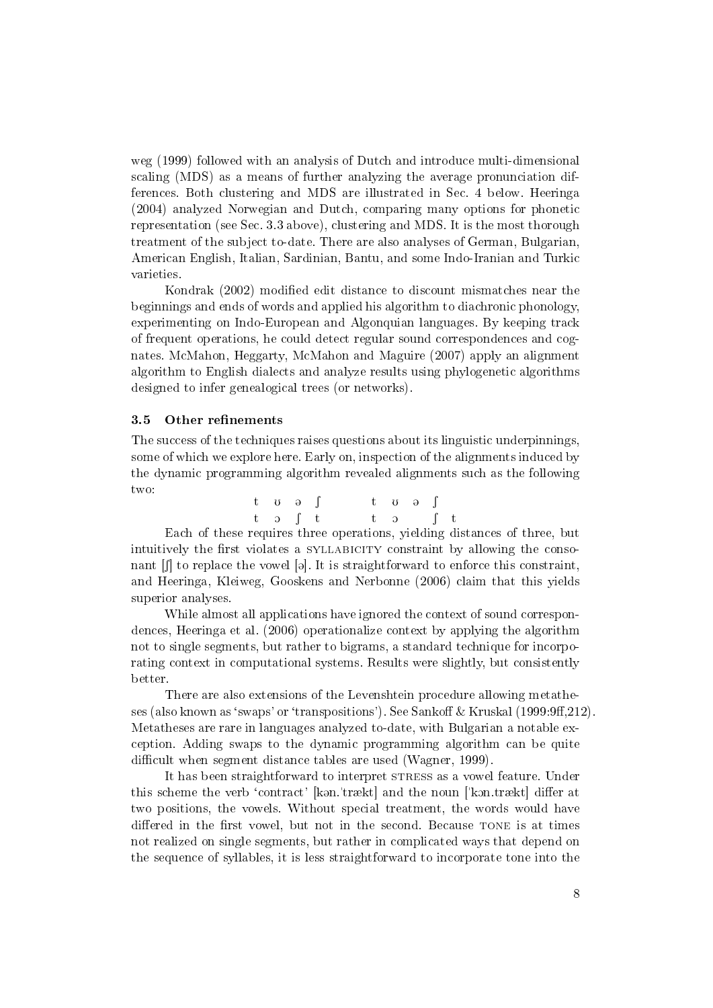weg (1999) followed with an analysis of Dutch and introduce multi-dimensional scaling (MDS) as a means of further analyzing the average pronunciation differences. Both clustering and MDS are illustrated in Sec. 4 below. Heeringa (2004) analyzed Norwegian and Dutch, comparing many options for phonetic representation (see Sec. 3.3 above), clustering and MDS. It is the most thorough treatment of the subject to-date. There are also analyses of German, Bulgarian, American English, Italian, Sardinian, Bantu, and some Indo-Iranian and Turkic varieties.

Kondrak (2002) modied edit distance to discount mismatches near the beginnings and ends of words and applied his algorithm to diachronic phonology, experimenting on Indo-European and Algonquian languages. By keeping track of frequent operations, he could detect regular sound correspondences and cognates. McMahon, Heggarty, McMahon and Maguire (2007) apply an alignment algorithm to English dialects and analyze results using phylogenetic algorithms designed to infer genealogical trees (or networks).

#### 3.5 Other refinements

The success of the techniques raises questions about its linguistic underpinnings, some of which we explore here. Early on, inspection of the alignments induced by the dynamic programming algorithm revealed alignments such as the following two:

| t və ∫                             |  | $t \sigma \theta \int$ |  |  |
|------------------------------------|--|------------------------|--|--|
| $t \quad \text{o} \quad f \quad t$ |  | $t$ of $t$             |  |  |

Each of these requires three operations, yielding distances of three, but intuitively the first violates a SYLLABICITY constraint by allowing the consonant  $\iiint$  to replace the vowel [a]. It is straightforward to enforce this constraint, and Heeringa, Kleiweg, Gooskens and Nerbonne (2006) claim that this yields superior analyses.

While almost all applications have ignored the context of sound correspondences, Heeringa et al. (2006) operationalize context by applying the algorithm not to single segments, but rather to bigrams, a standard technique for incorporating context in computational systems. Results were slightly, but consistently better.

There are also extensions of the Levenshtein procedure allowing metatheses (also known as 'swaps' or 'transpositions'). See Sankoff & Kruskal (1999:9ff, 212). Metatheses are rare in languages analyzed to-date, with Bulgarian a notable exception. Adding swaps to the dynamic programming algorithm can be quite difficult when segment distance tables are used (Wagner, 1999).

It has been straightforward to interpret STRESS as a vowel feature. Under this scheme the verb 'contract' [kan.'trækt] and the noun ['kon.trækt] differ at two positions, the vowels. Without special treatment, the words would have differed in the first vowel, but not in the second. Because TONE is at times not realized on single segments, but rather in complicated ways that depend on the sequence of syllables, it is less straightforward to incorporate tone into the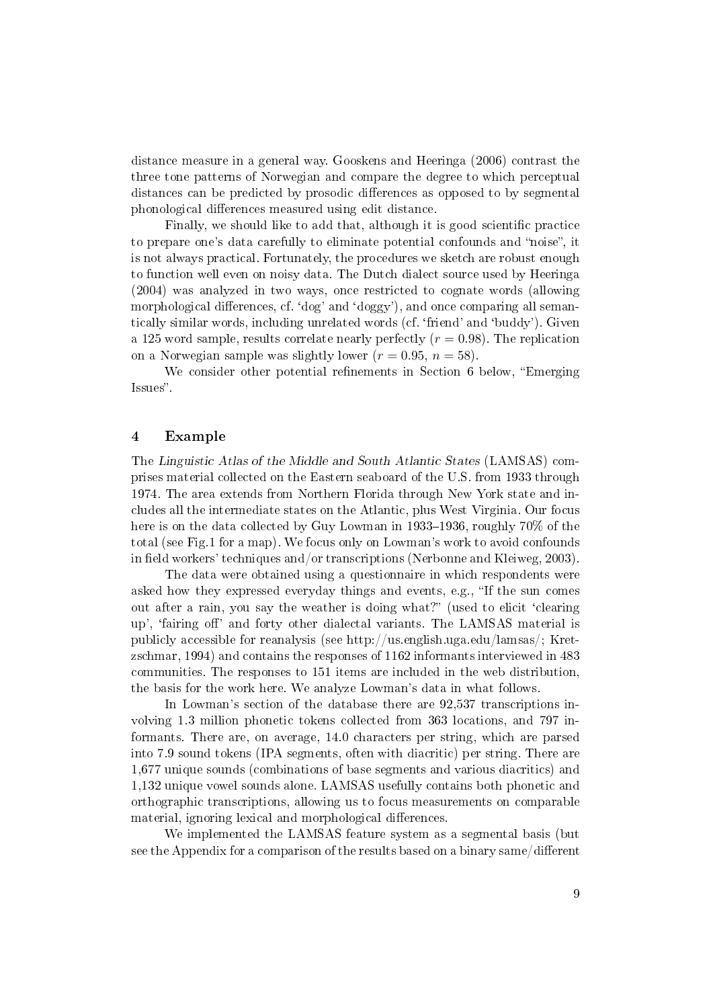distance measure in a general way. Gooskens and Heeringa (2006) contrast the three tone patterns of Norwegian and compare the degree to which perceptual distances can be predicted by prosodic differences as opposed to by segmental phonological differences measured using edit distance.

Finally, we should like to add that, although it is good scientific practice to prepare one's data carefully to eliminate potential confounds and "noise", it is not always practical. Fortunately, the procedures we sketch are robust enough to function well even on noisy data. The Dutch dialect source used by Heeringa (2004) was analyzed in two ways, once restricted to cognate words (allowing morphological differences, cf. 'dog' and 'doggy'), and once comparing all semantically similar words, including unrelated words (cf. `friend' and `buddy'). Given a 125 word sample, results correlate nearly perfectly  $(r = 0.98)$ . The replication on a Norwegian sample was slightly lower  $(r = 0.95, n = 58)$ .

We consider other potential refinements in Section 6 below, "Emerging Issues".

#### 4 Example

The Linguistic Atlas of the Middle and South Atlantic States (LAMSAS) comprises material collected on the Eastern seaboard of the U.S. from 1933 through 1974. The area extends from Northern Florida through New York state and includes all the intermediate states on the Atlantic, plus West Virginia. Our focus here is on the data collected by Guy Lowman in 1933-1936, roughly  $70\%$  of the total (see Fig.1 for a map). We focus only on Lowman's work to avoid confounds in field workers' techniques and/or transcriptions (Nerbonne and Kleiweg, 2003).

The data were obtained using a questionnaire in which respondents were asked how they expressed everyday things and events, e.g., "If the sun comes out after a rain, you say the weather is doing what?" (used to elicit 'clearing up', 'fairing off' and forty other dialectal variants. The LAMSAS material is publicly accessible for reanalysis (see http://us.english.uga.edu/lamsas/; Kretzschmar, 1994) and contains the responses of 1162 informants interviewed in 483 communities. The responses to 151 items are included in the web distribution, the basis for the work here. We analyze Lowman's data in what follows.

In Lowman's section of the database there are 92,537 transcriptions involving 1.3 million phonetic tokens collected from 363 locations, and 797 informants. There are, on average, 14.0 characters per string, which are parsed into 7.9 sound tokens (IPA segments, often with diacritic) per string. There are 1,677 unique sounds (combinations of base segments and various diacritics) and 1,132 unique vowel sounds alone. LAMSAS usefully contains both phonetic and orthographic transcriptions, allowing us to focus measurements on comparable material, ignoring lexical and morphological differences.

We implemented the LAMSAS feature system as a segmental basis (but see the Appendix for a comparison of the results based on a binary same/different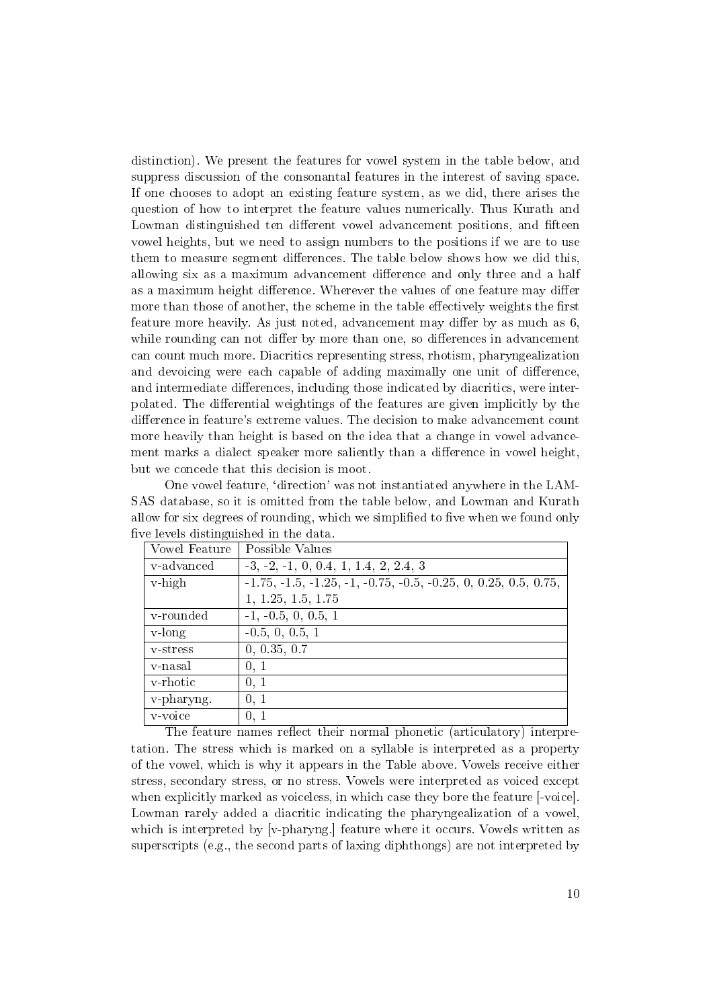distinction). We present the features for vowel system in the table below, and suppress discussion of the consonantal features in the interest of saving space. If one chooses to adopt an existing feature system, as we did, there arises the question of how to interpret the feature values numerically. Thus Kurath and Lowman distinguished ten different vowel advancement positions, and fifteen vowel heights, but we need to assign numbers to the positions if we are to use them to measure segment differences. The table below shows how we did this, allowing six as a maximum advancement difference and only three and a half as a maximum height difference. Wherever the values of one feature may differ more than those of another, the scheme in the table effectively weights the first feature more heavily. As just noted, advancement may differ by as much as 6, while rounding can not differ by more than one, so differences in advancement can count much more. Diacritics representing stress, rhotism, pharyngealization and devoicing were each capable of adding maximally one unit of difference, and intermediate differences, including those indicated by diacritics, were interpolated. The differential weightings of the features are given implicitly by the difference in feature's extreme values. The decision to make advancement count more heavily than height is based on the idea that a change in vowel advancement marks a dialect speaker more saliently than a difference in vowel height, but we concede that this decision is moot.

One vowel feature, 'direction' was not instantiated anywhere in the LAM-SAS database, so it is omitted from the table below, and Lowman and Kurath allow for six degrees of rounding, which we simplified to five when we found only five levels distinguished in the data.

|               | $10.10$ To $10.010$ and $10.010$ and $10.010$ and $10.000$        |  |  |  |  |
|---------------|-------------------------------------------------------------------|--|--|--|--|
| Vowel Feature | Possible Values                                                   |  |  |  |  |
| v-advanced    | $-3, -2, -1, 0, 0.4, 1, 1.4, 2, 2.4, 3$                           |  |  |  |  |
| $v$ -high     | $-1.75, -1.5, -1.25, -1, -0.75, -0.5, -0.25, 0, 0.25, 0.5, 0.75,$ |  |  |  |  |
|               | 1, 1.25, 1.5, 1.75                                                |  |  |  |  |
| v-rounded     | $-1, -0.5, 0, 0.5, 1$                                             |  |  |  |  |
| $v$ -long     | $-0.5, 0, 0.5, 1$                                                 |  |  |  |  |
| y-stress      | 0, 0.35, 0.7                                                      |  |  |  |  |
| v-nasal       | 0, 1                                                              |  |  |  |  |
| v-rhotic      | 0, 1                                                              |  |  |  |  |
| v-pharyng.    | 0, 1                                                              |  |  |  |  |
| v-voice       | 0, 1                                                              |  |  |  |  |

The feature names reflect their normal phonetic (articulatory) interpretation. The stress which is marked on a syllable is interpreted as a property of the vowel, which is why it appears in the Table above. Vowels receive either stress, secondary stress, or no stress. Vowels were interpreted as voiced except when explicitly marked as voiceless, in which case they bore the feature [-voice]. Lowman rarely added a diacritic indicating the pharyngealization of a vowel, which is interpreted by [v-pharyng.] feature where it occurs. Vowels written as superscripts (e.g., the second parts of laxing diphthongs) are not interpreted by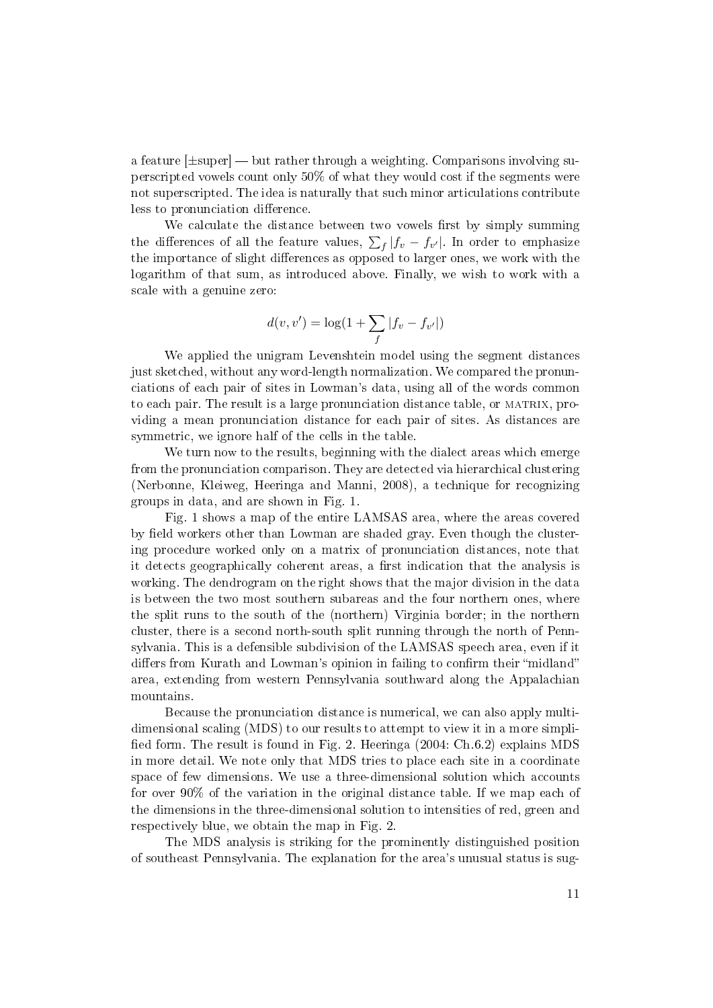a feature  $[\pm super]$  but rather through a weighting. Comparisons involving superscripted vowels count only 50% of what they would cost if the segments were not superscripted. The idea is naturally that such minor articulations contribute less to pronunciation difference.

We calculate the distance between two vowels first by simply summing the differences of all the feature values,  $\sum_{f}|f_v - f_{v'}|$ . In order to emphasize the importance of slight differences as opposed to larger ones, we work with the logarithm of that sum, as introduced above. Finally, we wish to work with a scale with a genuine zero:

$$
d(v, v') = \log(1 + \sum_{f} |f_v - f_{v'}|)
$$

We applied the unigram Levenshtein model using the segment distances just sketched, without any word-length normalization. We compared the pronunciations of each pair of sites in Lowman's data, using all of the words common to each pair. The result is a large pronunciation distance table, or MATRIX, providing a mean pronunciation distance for each pair of sites. As distances are symmetric, we ignore half of the cells in the table.

We turn now to the results, beginning with the dialect areas which emerge from the pronunciation comparison. They are detected via hierarchical clustering (Nerbonne, Kleiweg, Heeringa and Manni, 2008), a technique for recognizing groups in data, and are shown in Fig. 1.

Fig. 1 shows a map of the entire LAMSAS area, where the areas covered by field workers other than Lowman are shaded gray. Even though the clustering procedure worked only on a matrix of pronunciation distances, note that it detects geographically coherent areas, a first indication that the analysis is working. The dendrogram on the right shows that the major division in the data is between the two most southern subareas and the four northern ones, where the split runs to the south of the (northern) Virginia border; in the northern cluster, there is a second north-south split running through the north of Pennsylvania. This is a defensible subdivision of the LAMSAS speech area, even if it differs from Kurath and Lowman's opinion in failing to confirm their "midland" area, extending from western Pennsylvania southward along the Appalachian mountains.

Because the pronunciation distance is numerical, we can also apply multidimensional scaling (MDS) to our results to attempt to view it in a more simpli fied form. The result is found in Fig. 2. Heeringa  $(2004: Ch.6.2)$  explains MDS in more detail. We note only that MDS tries to place each site in a coordinate space of few dimensions. We use a three-dimensional solution which accounts for over 90% of the variation in the original distance table. If we map each of the dimensions in the three-dimensional solution to intensities of red, green and respectively blue, we obtain the map in Fig. 2.

The MDS analysis is striking for the prominently distinguished position of southeast Pennsylvania. The explanation for the area's unusual status is sug-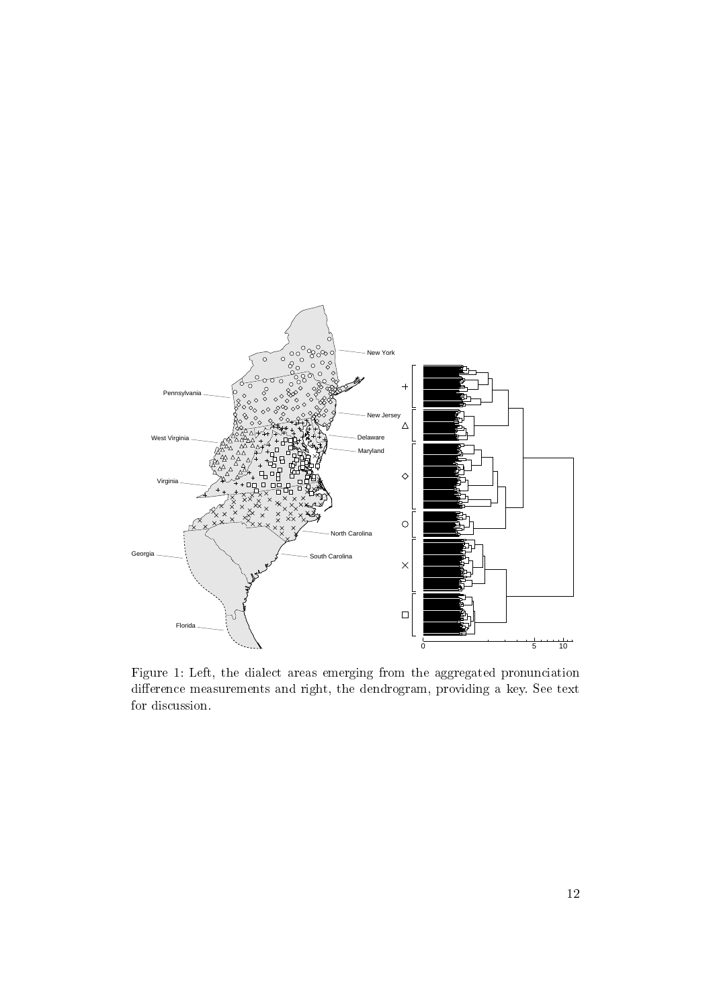

Figure 1: Left, the dialect areas emerging from the aggregated pronunciation difference measurements and right, the dendrogram, providing a key. See text for discussion.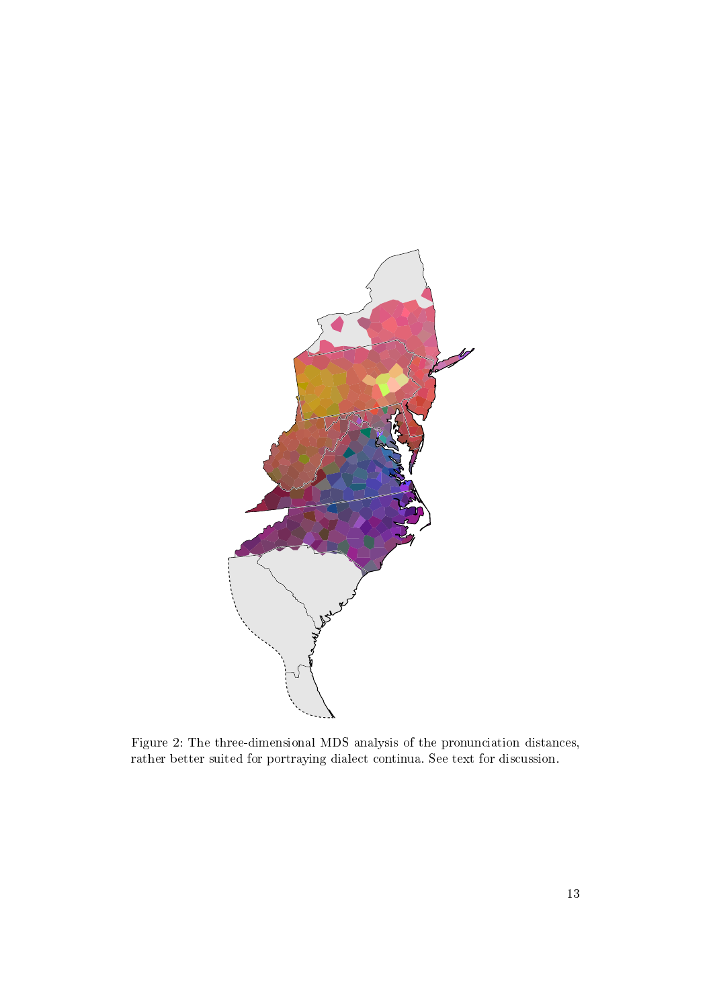

Figure 2: The three-dimensional MDS analysis of the pronunciation distances, rather better suited for portraying dialect continua. See text for discussion.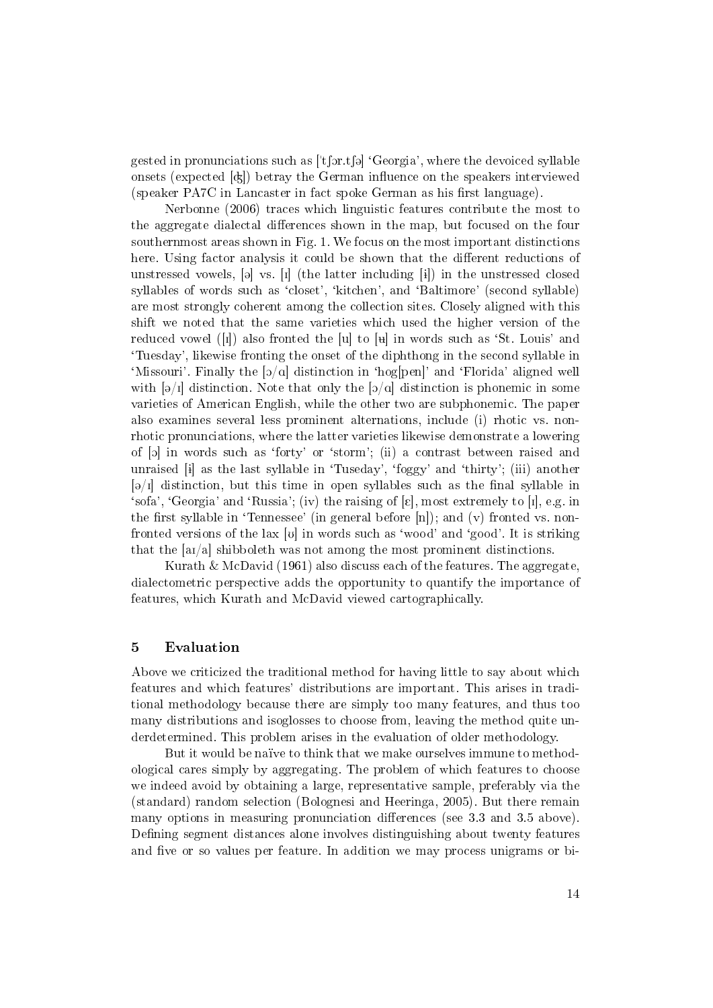gested in pronunciations such as  $[$ 't for t fol 'Georgia', where the devoiced syllable onsets (expected  $\left[\alpha\right]$ ) betray the German influence on the speakers interviewed  $(s$ peaker PA7C in Lancaster in fact spoke German as his first language).

Nerbonne (2006) traces which linguistic features contribute the most to the aggregate dialectal differences shown in the map, but focused on the four southernmost areas shown in Fig. 1. We focus on the most important distinctions here. Using factor analysis it could be shown that the different reductions of unstressed vowels,  $[\circ]$  vs.  $[I]$  (the latter including  $[i]$ ) in the unstressed closed syllables of words such as 'closet', 'kitchen', and 'Baltimore' (second syllable) are most strongly coherent among the collection sites. Closely aligned with this shift we noted that the same varieties which used the higher version of the reduced vowel  $\left([I]\right)$  also fronted the  $[u]$  to  $[u]$  in words such as 'St. Louis' and `Tuesday', likewise fronting the onset of the diphthong in the second syllable in 'Missouri'. Finally the  $[\mathfrak{d}/\mathfrak{a}]$  distinction in 'hog[pen]' and 'Florida' aligned well with  $[\Theta/I]$  distinction. Note that only the  $[\Theta/\alpha]$  distinction is phonemic in some varieties of American English, while the other two are subphonemic. The paper also examines several less prominent alternations, include (i) rhotic vs. nonrhotic pronunciations, where the latter varieties likewise demonstrate a lowering of [O] in words such as `forty' or `storm'; (ii) a contrast between raised and unraised [i] as the last syllable in 'Tuseday', 'foggy' and 'thirty'; (iii) another  $[\Theta / I]$  distinction, but this time in open syllables such as the final syllable in 'sofa', 'Georgia' and 'Russia'; (iv) the raising of  $[\varepsilon]$ , most extremely to  $[\iota]$ , e.g. in the first syllable in 'Tennessee' (in general before  $[n]$ ); and (v) fronted vs. nonfronted versions of the lax  $[v]$  in words such as 'wood' and 'good'. It is striking that the  $[aI/a]$  shibboleth was not among the most prominent distinctions.

Kurath & McDavid (1961) also discuss each of the features. The aggregate, dialectometric perspective adds the opportunity to quantify the importance of features, which Kurath and McDavid viewed cartographically.

#### 5 Evaluation

Above we criticized the traditional method for having little to say about which features and which features' distributions are important. This arises in traditional methodology because there are simply too many features, and thus too many distributions and isoglosses to choose from, leaving the method quite underdetermined. This problem arises in the evaluation of older methodology.

But it would be naïve to think that we make ourselves immune to methodological cares simply by aggregating. The problem of which features to choose we indeed avoid by obtaining a large, representative sample, preferably via the (standard) random selection (Bolognesi and Heeringa, 2005). But there remain many options in measuring pronunciation differences (see 3.3 and 3.5 above). Defining segment distances alone involves distinguishing about twenty features and five or so values per feature. In addition we may process unigrams or bi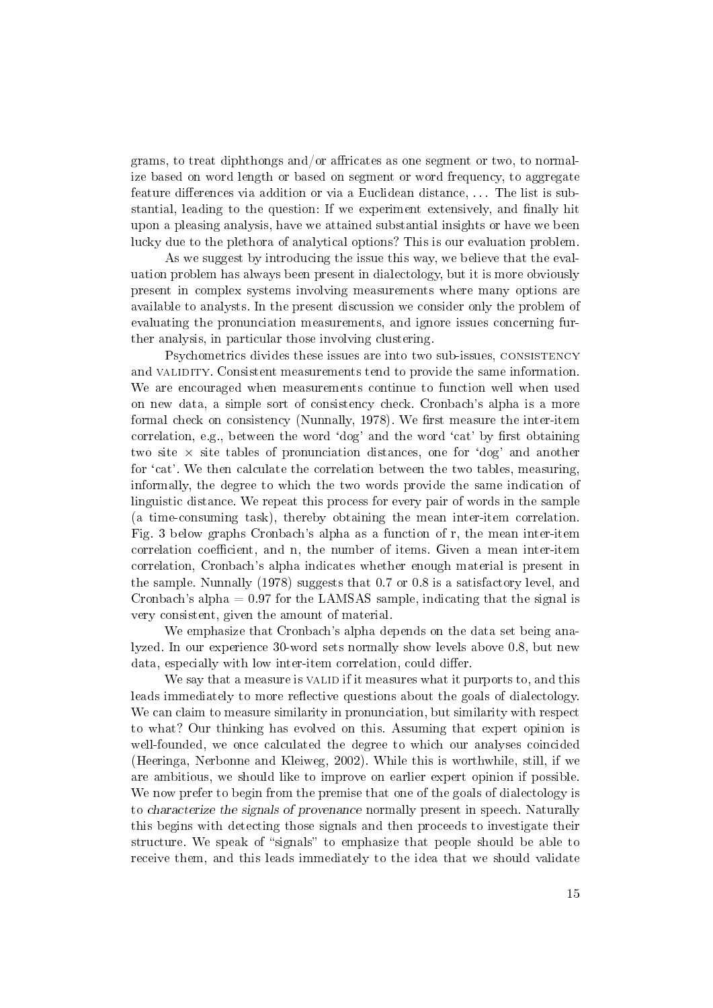grams, to treat diphthongs and/or affricates as one segment or two, to normalize based on word length or based on segment or word frequency, to aggregate feature differences via addition or via a Euclidean distance, ... The list is substantial, leading to the question: If we experiment extensively, and finally hit upon a pleasing analysis, have we attained substantial insights or have we been lucky due to the plethora of analytical options? This is our evaluation problem.

As we suggest by introducing the issue this way, we believe that the evaluation problem has always been present in dialectology, but it is more obviously present in complex systems involving measurements where many options are available to analysts. In the present discussion we consider only the problem of evaluating the pronunciation measurements, and ignore issues concerning further analysis, in particular those involving clustering.

Psychometrics divides these issues are into two sub-issues, consistency and VALIDITY. Consistent measurements tend to provide the same information. We are encouraged when measurements continue to function well when used on new data, a simple sort of consistency check. Cronbach's alpha is a more formal check on consistency (Nunnally,  $1978$ ). We first measure the inter-item correlation, e.g., between the word 'dog' and the word 'cat' by first obtaining two site  $\times$  site tables of pronunciation distances, one for 'dog' and another for 'cat'. We then calculate the correlation between the two tables, measuring, informally, the degree to which the two words provide the same indication of linguistic distance. We repeat this process for every pair of words in the sample (a time-consuming task), thereby obtaining the mean inter-item correlation. Fig. 3 below graphs Cronbach's alpha as a function of r, the mean inter-item correlation coefficient, and n, the number of items. Given a mean inter-item correlation, Cronbach's alpha indicates whether enough material is present in the sample. Nunnally (1978) suggests that 0.7 or 0.8 is a satisfactory level, and Cronbach's alpha  $= 0.97$  for the LAMSAS sample, indicating that the signal is very consistent, given the amount of material.

We emphasize that Cronbach's alpha depends on the data set being analyzed. In our experience 30-word sets normally show levels above 0.8, but new data, especially with low inter-item correlation, could differ.

We say that a measure is VALID if it measures what it purports to, and this leads immediately to more reflective questions about the goals of dialectology. We can claim to measure similarity in pronunciation, but similarity with respect to what? Our thinking has evolved on this. Assuming that expert opinion is well-founded, we once calculated the degree to which our analyses coincided (Heeringa, Nerbonne and Kleiweg, 2002). While this is worthwhile, still, if we are ambitious, we should like to improve on earlier expert opinion if possible. We now prefer to begin from the premise that one of the goals of dialectology is to characterize the signals of provenance normally present in speech. Naturally this begins with detecting those signals and then proceeds to investigate their structure. We speak of "signals" to emphasize that people should be able to receive them, and this leads immediately to the idea that we should validate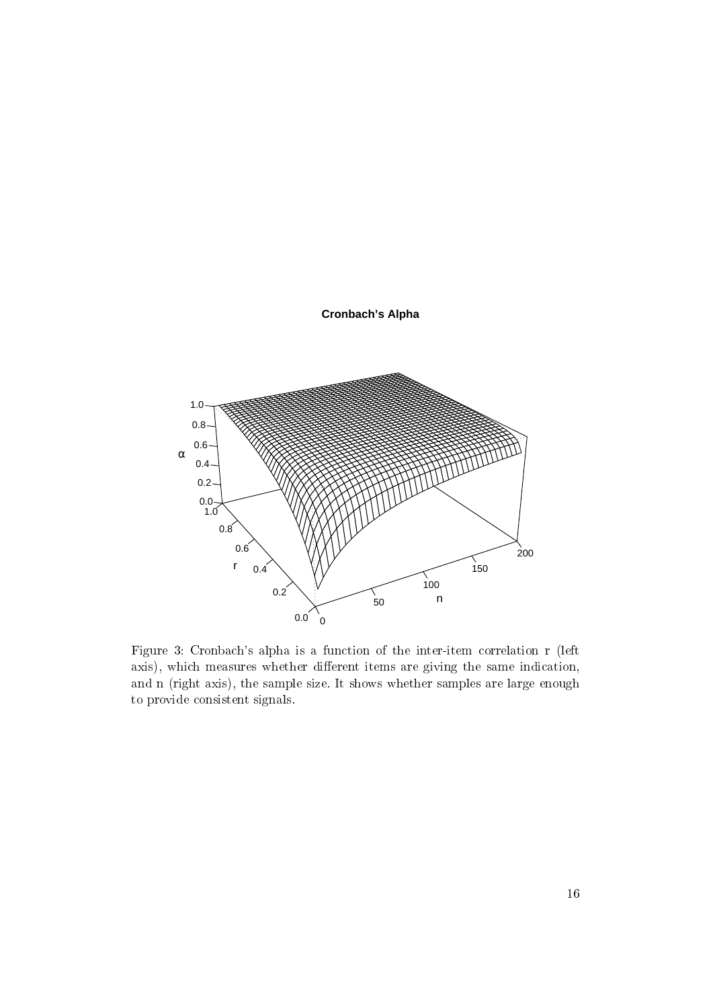

**Cronbach's Alpha**

Figure 3: Cronbach's alpha is a function of the inter-item correlation r (left axis), which measures whether different items are giving the same indication, and n (right axis), the sample size. It shows whether samples are large enough to provide consistent signals.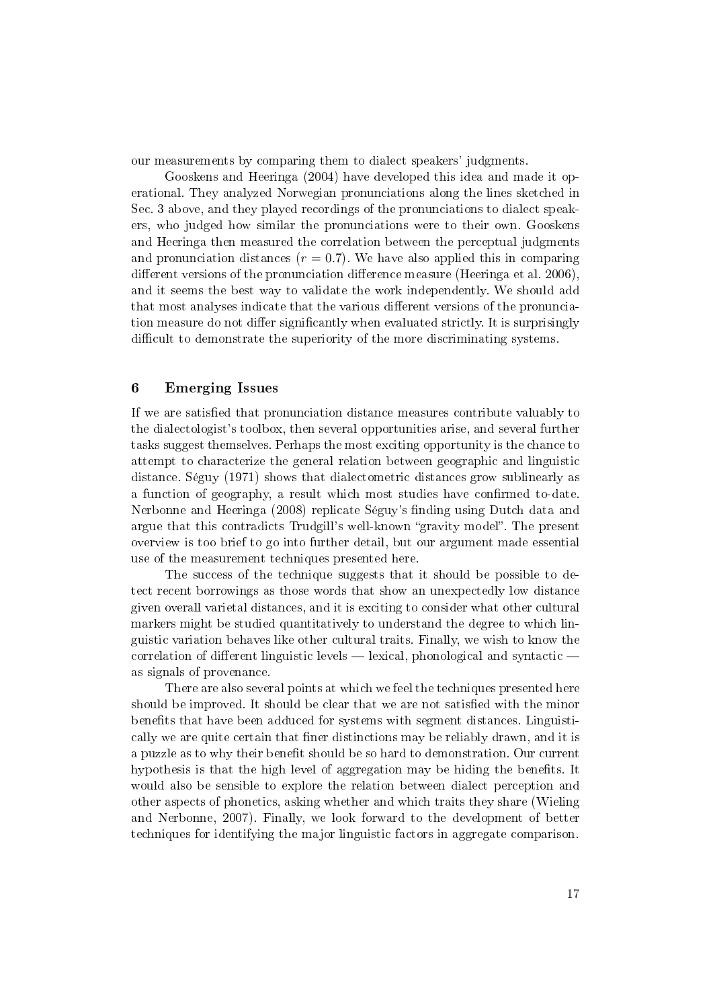our measurements by comparing them to dialect speakers' judgments.

Gooskens and Heeringa (2004) have developed this idea and made it operational. They analyzed Norwegian pronunciations along the lines sketched in Sec. 3 above, and they played recordings of the pronunciations to dialect speakers, who judged how similar the pronunciations were to their own. Gooskens and Heeringa then measured the correlation between the perceptual judgments and pronunciation distances  $(r = 0.7)$ . We have also applied this in comparing different versions of the pronunciation difference measure (Heeringa et al. 2006), and it seems the best way to validate the work independently. We should add that most analyses indicate that the various different versions of the pronunciation measure do not differ significantly when evaluated strictly. It is surprisingly difficult to demonstrate the superiority of the more discriminating systems.

# 6 Emerging Issues

If we are satised that pronunciation distance measures contribute valuably to the dialectologist's toolbox, then several opportunities arise, and several further tasks suggest themselves. Perhaps the most exciting opportunity is the chance to attempt to characterize the general relation between geographic and linguistic distance. Séguy (1971) shows that dialectometric distances grow sublinearly as a function of geography, a result which most studies have confirmed to-date. Nerbonne and Heeringa (2008) replicate Séguy's finding using Dutch data and argue that this contradicts Trudgill's well-known "gravity model". The present overview is too brief to go into further detail, but our argument made essential use of the measurement techniques presented here.

The success of the technique suggests that it should be possible to detect recent borrowings as those words that show an unexpectedly low distance given overall varietal distances, and it is exciting to consider what other cultural markers might be studied quantitatively to understand the degree to which linguistic variation behaves like other cultural traits. Finally, we wish to know the correlation of different linguistic levels — lexical, phonological and syntactic as signals of provenance.

There are also several points at which we feel the techniques presented here should be improved. It should be clear that we are not satisfied with the minor benefits that have been adduced for systems with segment distances. Linguistically we are quite certain that finer distinctions may be reliably drawn, and it is a puzzle as to why their benefit should be so hard to demonstration. Our current hypothesis is that the high level of aggregation may be hiding the benefits. It would also be sensible to explore the relation between dialect perception and other aspects of phonetics, asking whether and which traits they share (Wieling and Nerbonne, 2007). Finally, we look forward to the development of better techniques for identifying the major linguistic factors in aggregate comparison.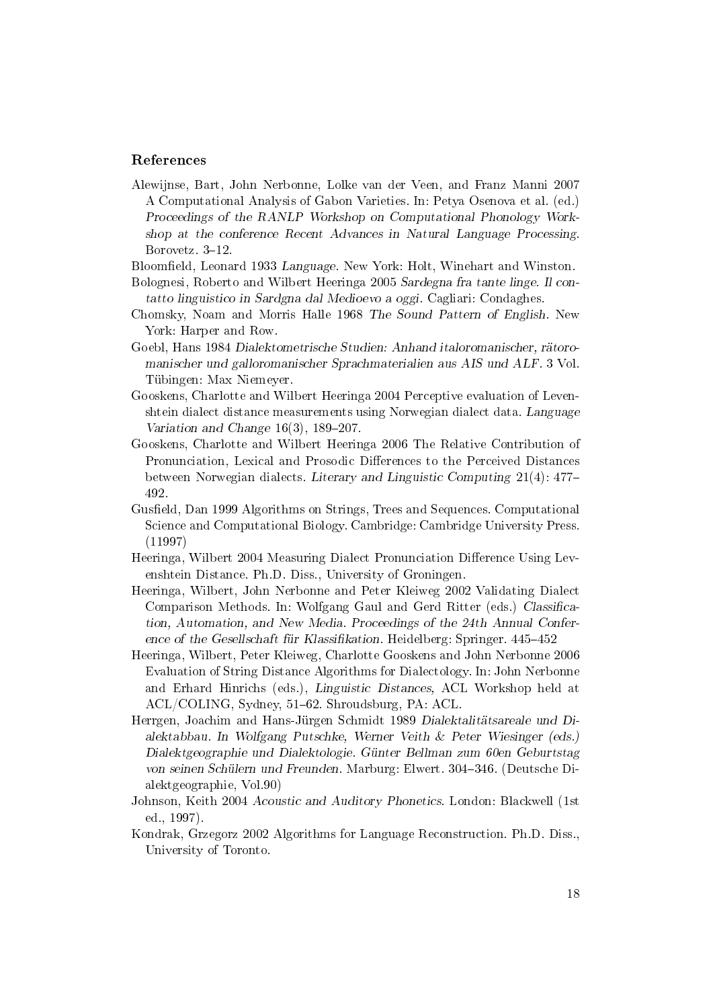### References

Alewijnse, Bart, John Nerbonne, Lolke van der Veen, and Franz Manni 2007 A Computational Analysis of Gabon Varieties. In: Petya Osenova et al. (ed.) Proceedings of the RANLP Workshop on Computational Phonology Workshop at the conference Recent Advances in Natural Language Processing. Borovetz. 3-12.

Bloomfield, Leonard 1933 Language. New York: Holt, Winehart and Winston.

- Bolognesi, Roberto and Wilbert Heeringa 2005 Sardegna fra tante linge. Il contatto linguistico in Sardgna dal Medioevo a oggi. Cagliari: Condaghes.
- Chomsky, Noam and Morris Halle 1968 The Sound Pattern of English. New York: Harper and Row.
- Goebl, Hans 1984 Dialektometrische Studien: Anhand italoromanischer, rätoromanischer und galloromanischer Sprachmaterialien aus AIS und ALF. 3 Vol. Tübingen: Max Niemeyer.
- Gooskens, Charlotte and Wilbert Heeringa 2004 Perceptive evaluation of Levenshtein dialect distance measurements using Norwegian dialect data. Language Variation and Change  $16(3)$ ,  $189-207$ .
- Gooskens, Charlotte and Wilbert Heeringa 2006 The Relative Contribution of Pronunciation, Lexical and Prosodic Differences to the Perceived Distances between Norwegian dialects. Literary and Linguistic Computing 21(4): 477 492.
- Gusfield, Dan 1999 Algorithms on Strings, Trees and Sequences. Computational Science and Computational Biology. Cambridge: Cambridge University Press. (11997)
- Heeringa, Wilbert 2004 Measuring Dialect Pronunciation Difference Using Levenshtein Distance. Ph.D. Diss., University of Groningen.
- Heeringa, Wilbert, John Nerbonne and Peter Kleiweg 2002 Validating Dialect Comparison Methods. In: Wolfgang Gaul and Gerd Ritter (eds.) Classification, Automation, and New Media. Proceedings of the 24th Annual Conference of the Gesellschaft für Klassifikation. Heidelberg: Springer. 445-452
- Heeringa, Wilbert, Peter Kleiweg, Charlotte Gooskens and John Nerbonne 2006 Evaluation of String Distance Algorithms for Dialectology. In: John Nerbonne and Erhard Hinrichs (eds.), Linguistic Distances, ACL Workshop held at ACL/COLING, Sydney, 51-62. Shroudsburg, PA: ACL.
- Herrgen, Joachim and Hans-Jürgen Schmidt 1989 Dialektalitätsareale und Dialektabbau. In Wolfgang Putschke, Werner Veith & Peter Wiesinger (eds.) Dialektgeographie und Dialektologie. Günter Bellman zum 60en Geburtstag von seinen Schülern und Freunden. Marburg: Elwert. 304346. (Deutsche Dialektgeographie, Vol.90)
- Johnson, Keith 2004 Acoustic and Auditory Phonetics. London: Blackwell (1st ed., 1997).
- Kondrak, Grzegorz 2002 Algorithms for Language Reconstruction. Ph.D. Diss., University of Toronto.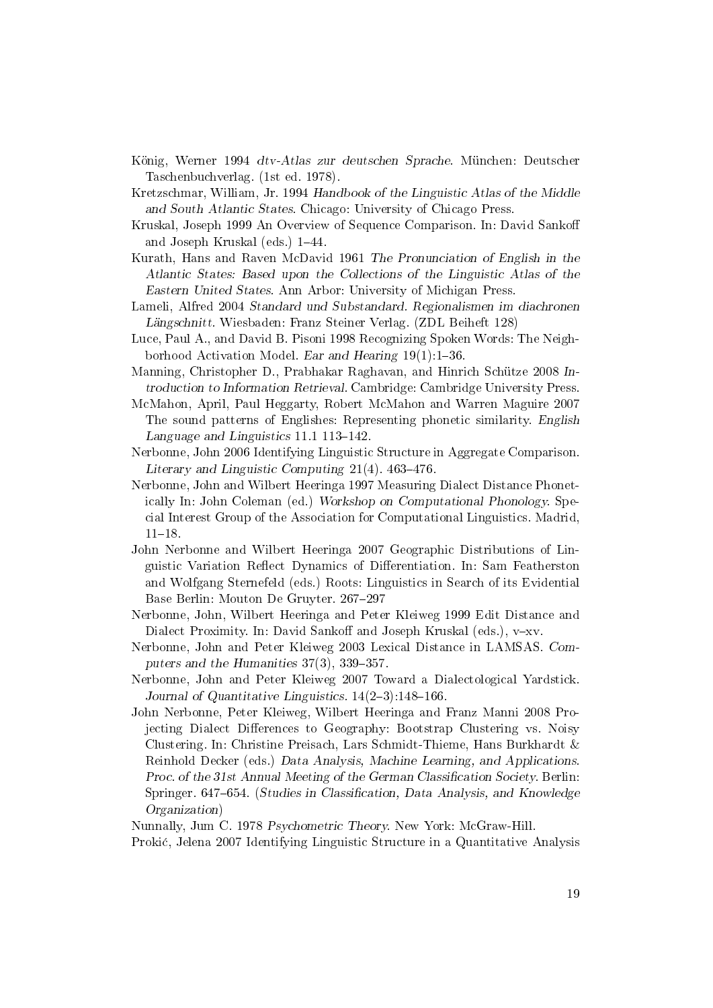- König, Werner 1994 dtv-Atlas zur deutschen Sprache. München: Deutscher Taschenbuchverlag. (1st ed. 1978).
- Kretzschmar, William, Jr. 1994 Handbook of the Linguistic Atlas of the Middle and South Atlantic States. Chicago: University of Chicago Press.
- Kruskal, Joseph 1999 An Overview of Sequence Comparison. In: David Sanko and Joseph Kruskal (eds.)  $1-44$ .
- Kurath, Hans and Raven McDavid 1961 The Pronunciation of English in the Atlantic States: Based upon the Collections of the Linguistic Atlas of the Eastern United States. Ann Arbor: University of Michigan Press.
- Lameli, Alfred 2004 Standard und Substandard. Regionalismen im diachronen Längschnitt. Wiesbaden: Franz Steiner Verlag. (ZDL Beiheft 128)
- Luce, Paul A., and David B. Pisoni 1998 Recognizing Spoken Words: The Neighborhood Activation Model. Ear and Hearing  $19(1)$ : 1-36.
- Manning, Christopher D., Prabhakar Raghavan, and Hinrich Schütze 2008 Introduction to Information Retrieval. Cambridge: Cambridge University Press.
- McMahon, April, Paul Heggarty, Robert McMahon and Warren Maguire 2007 The sound patterns of Englishes: Representing phonetic similarity. English Language and Linguistics  $11.1$   $113-142$ .
- Nerbonne, John 2006 Identifying Linguistic Structure in Aggregate Comparison. Literary and Linguistic Computing  $21(4)$ . 463-476.
- Nerbonne, John and Wilbert Heeringa 1997 Measuring Dialect Distance Phonetically In: John Coleman (ed.) Workshop on Computational Phonology. Special Interest Group of the Association for Computational Linguistics. Madrid,  $11-18$ .
- John Nerbonne and Wilbert Heeringa 2007 Geographic Distributions of Linguistic Variation Reflect Dynamics of Differentiation. In: Sam Featherston and Wolfgang Sternefeld (eds.) Roots: Linguistics in Search of its Evidential Base Berlin: Mouton De Gruyter. 267-297
- Nerbonne, John, Wilbert Heeringa and Peter Kleiweg 1999 Edit Distance and Dialect Proximity. In: David Sankoff and Joseph Kruskal (eds.), v-xv.
- Nerbonne, John and Peter Kleiweg 2003 Lexical Distance in LAMSAS. Computers and the Humanities  $37(3)$ ,  $339-357$ .
- Nerbonne, John and Peter Kleiweg 2007 Toward a Dialectological Yardstick. Journal of Quantitative Linguistics.  $14(2-3)$ : 148-166.
- John Nerbonne, Peter Kleiweg, Wilbert Heeringa and Franz Manni 2008 Projecting Dialect Differences to Geography: Bootstrap Clustering vs. Noisy Clustering. In: Christine Preisach, Lars Schmidt-Thieme, Hans Burkhardt & Reinhold Decker (eds.) Data Analysis, Machine Learning, and Applications. Proc. of the 31st Annual Meeting of the German Classification Society. Berlin: Springer. 647–654. (Studies in Classification, Data Analysis, and Knowledge Organization)

Nunnally, Jum C. 1978 Psychometric Theory. New York: McGraw-Hill.

Proki¢, Jelena 2007 Identifying Linguistic Structure in a Quantitative Analysis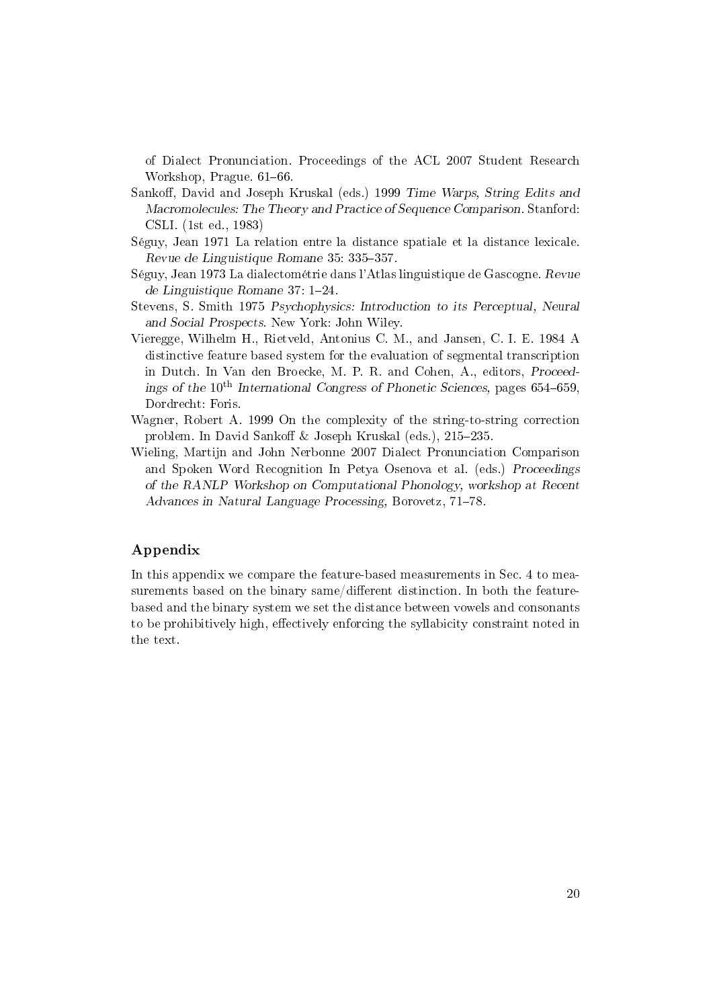of Dialect Pronunciation. Proceedings of the ACL 2007 Student Research Workshop, Prague. 61–66.

- Sankoff, David and Joseph Kruskal (eds.) 1999 Time Warps, String Edits and Macromolecules: The Theory and Practice of Sequence Comparison. Stanford: CSLI. (1st ed., 1983)
- Séguy, Jean 1971 La relation entre la distance spatiale et la distance lexicale. Revue de Linguistique Romane 35: 335-357.
- Séguy, Jean 1973 La dialectométrie dans l'Atlas linguistique de Gascogne. Revue de Linguistique Romane  $37: 1-24$ .
- Stevens, S. Smith 1975 Psychophysics: Introduction to its Perceptual, Neural and Social Prospects. New York: John Wiley.
- Vieregge, Wilhelm H., Rietveld, Antonius C. M., and Jansen, C. I. E. 1984 A distinctive feature based system for the evaluation of segmental transcription in Dutch. In Van den Broecke, M. P. R. and Cohen, A., editors, Proceedings of the  $10^{th}$  International Congress of Phonetic Sciences, pages 654–659, Dordrecht: Foris.
- Wagner, Robert A. 1999 On the complexity of the string-to-string correction problem. In David Sankoff & Joseph Kruskal (eds.),  $215-235$ .
- Wieling, Martijn and John Nerbonne 2007 Dialect Pronunciation Comparison and Spoken Word Recognition In Petya Osenova et al. (eds.) Proceedings of the RANLP Workshop on Computational Phonology, workshop at Recent Advances in Natural Language Processing, Borovetz, 71-78.

# Appendix

In this appendix we compare the feature-based measurements in Sec. 4 to measurements based on the binary same/different distinction. In both the featurebased and the binary system we set the distance between vowels and consonants to be prohibitively high, effectively enforcing the syllabicity constraint noted in the text.